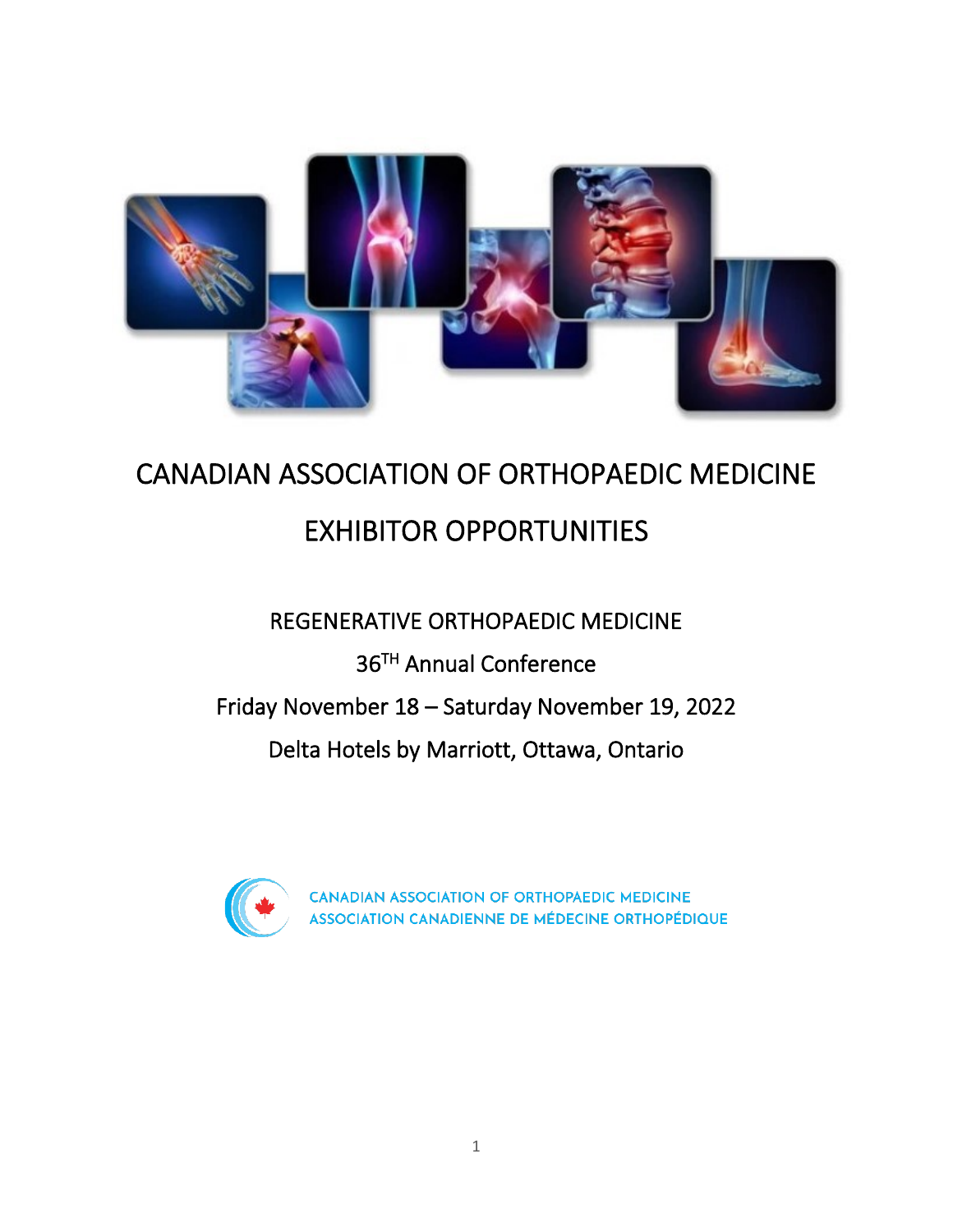

## CANADIAN ASSOCIATION OF ORTHOPAEDIC MEDICINE EXHIBITOR OPPORTUNITIES

## REGENERATIVE ORTHOPAEDIC MEDICINE

36 TH Annual Conference

Friday November 18 – Saturday November 19, 2022

Delta Hotels by Marriott, Ottawa, Ontario



CANADIAN ASSOCIATION OF ORTHOPAEDIC MEDICINE ASSOCIATION CANADIENNE DE MÉDECINE ORTHOPÉDIQUE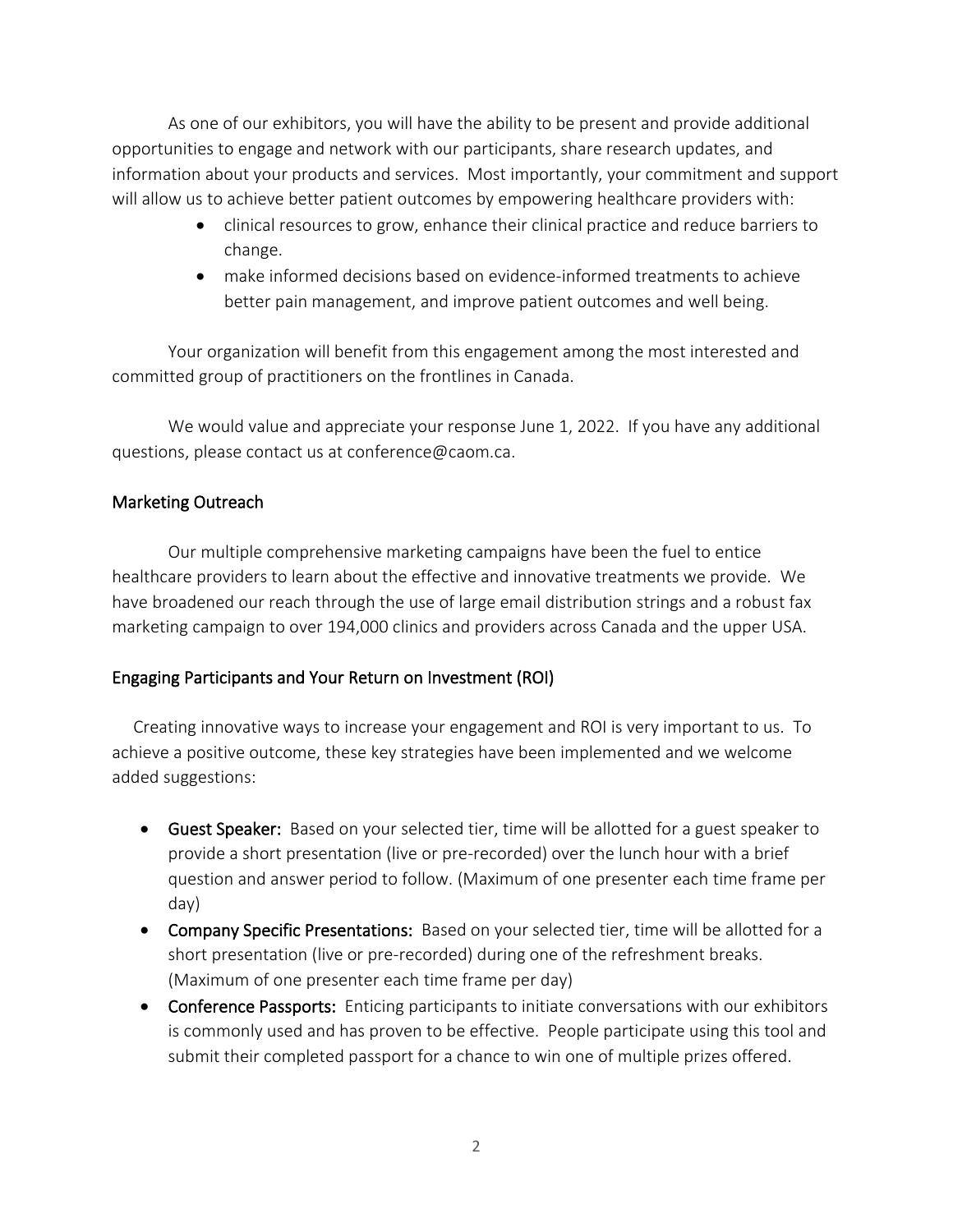As one of our exhibitors, you will have the ability to be present and provide additional opportunities to engage and network with our participants, share research updates, and information about your products and services. Most importantly, your commitment and support will allow us to achieve better patient outcomes by empowering healthcare providers with:

- clinical resources to grow, enhance their clinical practice and reduce barriers to change.
- make informed decisions based on evidence-informed treatments to achieve better pain management, and improve patient outcomes and well being.

Your organization will benefit from this engagement among the most interested and committed group of practitioners on the frontlines in Canada.

We would value and appreciate your response June 1, 2022. If you have any additional questions, please contact us at conference@caom.ca.

## Marketing Outreach

 Our multiple comprehensive marketing campaigns have been the fuel to entice healthcare providers to learn about the effective and innovative treatments we provide. We have broadened our reach through the use of large email distribution strings and a robust fax marketing campaign to over 194,000 clinics and providers across Canada and the upper USA.

## Engaging Participants and Your Return on Investment (ROI)

 Creating innovative ways to increase your engagement and ROI is very important to us. To achieve a positive outcome, these key strategies have been implemented and we welcome added suggestions:

- Guest Speaker: Based on your selected tier, time will be allotted for a guest speaker to provide a short presentation (live or pre-recorded) over the lunch hour with a brief question and answer period to follow. (Maximum of one presenter each time frame per day)
- Company Specific Presentations: Based on your selected tier, time will be allotted for a short presentation (live or pre-recorded) during one of the refreshment breaks. (Maximum of one presenter each time frame per day)
- Conference Passports: Enticing participants to initiate conversations with our exhibitors is commonly used and has proven to be effective. People participate using this tool and submit their completed passport for a chance to win one of multiple prizes offered.